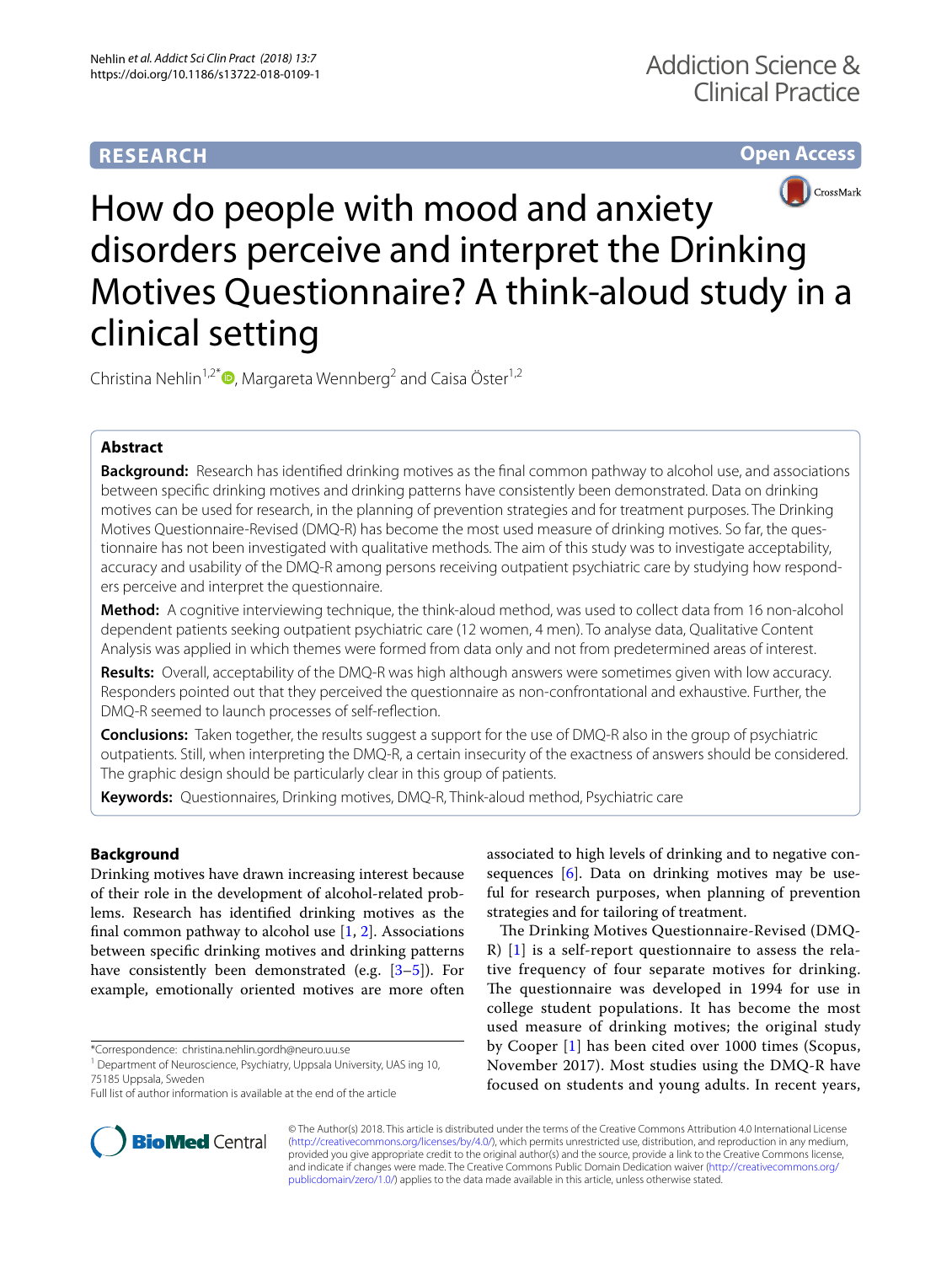## **RESEARCH**

## **Open Access**



# How do people with mood and anxiety disorders perceive and interpret the Drinking Motives Questionnaire? A think-aloud study in a clinical setting

Christina Nehlin<sup>1,2\*</sup><sup>O</sup>[,](http://orcid.org/0000-0002-9404-5183) Margareta Wennberg<sup>2</sup> and Caisa Öster<sup>1,2</sup>

## **Abstract**

**Background:** Research has identifed drinking motives as the fnal common pathway to alcohol use, and associations between specifc drinking motives and drinking patterns have consistently been demonstrated. Data on drinking motives can be used for research, in the planning of prevention strategies and for treatment purposes. The Drinking Motives Questionnaire-Revised (DMQ-R) has become the most used measure of drinking motives. So far, the questionnaire has not been investigated with qualitative methods. The aim of this study was to investigate acceptability, accuracy and usability of the DMQ-R among persons receiving outpatient psychiatric care by studying how responders perceive and interpret the questionnaire.

**Method:** A cognitive interviewing technique, the think-aloud method, was used to collect data from 16 non-alcohol dependent patients seeking outpatient psychiatric care (12 women, 4 men). To analyse data, Qualitative Content Analysis was applied in which themes were formed from data only and not from predetermined areas of interest.

**Results:** Overall, acceptability of the DMQ-R was high although answers were sometimes given with low accuracy. Responders pointed out that they perceived the questionnaire as non-confrontational and exhaustive. Further, the DMQ-R seemed to launch processes of self-refection.

**Conclusions:** Taken together, the results suggest a support for the use of DMQ-R also in the group of psychiatric outpatients. Still, when interpreting the DMQ-R, a certain insecurity of the exactness of answers should be considered. The graphic design should be particularly clear in this group of patients.

**Keywords:** Questionnaires, Drinking motives, DMQ-R, Think-aloud method, Psychiatric care

## **Background**

Drinking motives have drawn increasing interest because of their role in the development of alcohol-related problems. Research has identifed drinking motives as the fnal common pathway to alcohol use [[1,](#page-5-0) [2\]](#page-5-1). Associations between specifc drinking motives and drinking patterns have consistently been demonstrated (e.g. [\[3](#page-5-2)–[5\]](#page-5-3)). For example, emotionally oriented motives are more often

\*Correspondence: christina.nehlin.gordh@neuro.uu.se



The Drinking Motives Questionnaire-Revised (DMQ-R) [\[1](#page-5-0)] is a self-report questionnaire to assess the relative frequency of four separate motives for drinking. The questionnaire was developed in 1994 for use in college student populations. It has become the most used measure of drinking motives; the original study by Cooper [[1\]](#page-5-0) has been cited over 1000 times (Scopus, November 2017). Most studies using the DMQ-R have focused on students and young adults. In recent years,



© The Author(s) 2018. This article is distributed under the terms of the Creative Commons Attribution 4.0 International License [\(http://creativecommons.org/licenses/by/4.0/\)](http://creativecommons.org/licenses/by/4.0/), which permits unrestricted use, distribution, and reproduction in any medium, provided you give appropriate credit to the original author(s) and the source, provide a link to the Creative Commons license, and indicate if changes were made. The Creative Commons Public Domain Dedication waiver ([http://creativecommons.org/](http://creativecommons.org/publicdomain/zero/1.0/) [publicdomain/zero/1.0/](http://creativecommons.org/publicdomain/zero/1.0/)) applies to the data made available in this article, unless otherwise stated.

<sup>&</sup>lt;sup>1</sup> Department of Neuroscience, Psychiatry, Uppsala University, UAS ing 10, 75185 Uppsala, Sweden

Full list of author information is available at the end of the article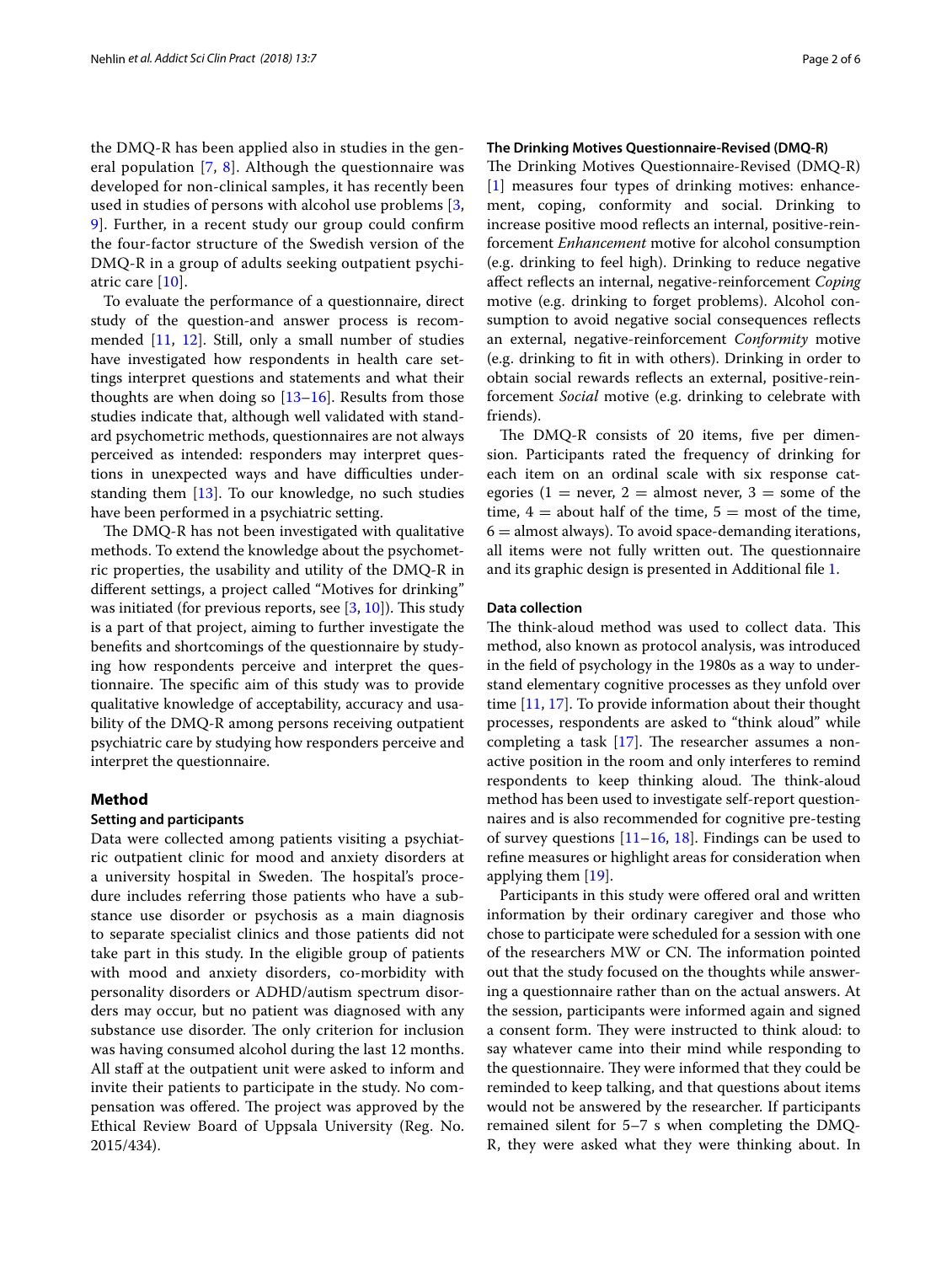the DMQ-R has been applied also in studies in the general population  $[7, 8]$  $[7, 8]$  $[7, 8]$  $[7, 8]$  $[7, 8]$ . Although the questionnaire was developed for non-clinical samples, it has recently been used in studies of persons with alcohol use problems [\[3](#page-5-2), [9\]](#page-5-7). Further, in a recent study our group could confrm the four-factor structure of the Swedish version of the DMQ-R in a group of adults seeking outpatient psychiatric care [[10\]](#page-5-8).

To evaluate the performance of a questionnaire, direct study of the question-and answer process is recommended [[11](#page-5-9), [12\]](#page-5-10). Still, only a small number of studies have investigated how respondents in health care settings interpret questions and statements and what their thoughts are when doing so  $[13–16]$  $[13–16]$  $[13–16]$  $[13–16]$ . Results from those studies indicate that, although well validated with standard psychometric methods, questionnaires are not always perceived as intended: responders may interpret questions in unexpected ways and have difficulties understanding them [[13\]](#page-5-11). To our knowledge, no such studies have been performed in a psychiatric setting.

The DMQ-R has not been investigated with qualitative methods. To extend the knowledge about the psychometric properties, the usability and utility of the DMQ-R in diferent settings, a project called "Motives for drinking" was initiated (for previous reports, see  $[3, 10]$  $[3, 10]$  $[3, 10]$  $[3, 10]$ ). This study is a part of that project, aiming to further investigate the benefts and shortcomings of the questionnaire by studying how respondents perceive and interpret the questionnaire. The specific aim of this study was to provide qualitative knowledge of acceptability, accuracy and usability of the DMQ-R among persons receiving outpatient psychiatric care by studying how responders perceive and interpret the questionnaire.

#### **Method**

#### **Setting and participants**

Data were collected among patients visiting a psychiatric outpatient clinic for mood and anxiety disorders at a university hospital in Sweden. The hospital's procedure includes referring those patients who have a substance use disorder or psychosis as a main diagnosis to separate specialist clinics and those patients did not take part in this study. In the eligible group of patients with mood and anxiety disorders, co-morbidity with personality disorders or ADHD/autism spectrum disorders may occur, but no patient was diagnosed with any substance use disorder. The only criterion for inclusion was having consumed alcohol during the last 12 months. All staff at the outpatient unit were asked to inform and invite their patients to participate in the study. No compensation was offered. The project was approved by the Ethical Review Board of Uppsala University (Reg. No. 2015/434).

#### **The Drinking Motives Questionnaire‑Revised (DMQ‑R)**

The Drinking Motives Questionnaire-Revised (DMQ-R) [[1\]](#page-5-0) measures four types of drinking motives: enhancement, coping, conformity and social. Drinking to increase positive mood refects an internal, positive-reinforcement *Enhancement* motive for alcohol consumption (e.g. drinking to feel high). Drinking to reduce negative afect refects an internal, negative-reinforcement *Coping* motive (e.g. drinking to forget problems). Alcohol consumption to avoid negative social consequences refects an external, negative-reinforcement *Conformity* motive (e.g. drinking to ft in with others). Drinking in order to obtain social rewards refects an external, positive-reinforcement *Social* motive (e.g. drinking to celebrate with friends).

The DMQ-R consists of 20 items, five per dimension. Participants rated the frequency of drinking for each item on an ordinal scale with six response categories (1 = never, 2 = almost never, 3 = some of the time,  $4 =$  about half of the time,  $5 =$  most of the time,  $6 =$  almost always). To avoid space-demanding iterations, all items were not fully written out. The questionnaire and its graphic design is presented in Additional fle [1](#page-4-0).

#### **Data collection**

The think-aloud method was used to collect data. This method, also known as protocol analysis, was introduced in the feld of psychology in the 1980s as a way to understand elementary cognitive processes as they unfold over time [[11,](#page-5-9) [17](#page-5-13)]. To provide information about their thought processes, respondents are asked to "think aloud" while completing a task  $[17]$  $[17]$ . The researcher assumes a nonactive position in the room and only interferes to remind respondents to keep thinking aloud. The think-aloud method has been used to investigate self-report questionnaires and is also recommended for cognitive pre-testing of survey questions  $[11–16, 18]$  $[11–16, 18]$  $[11–16, 18]$  $[11–16, 18]$  $[11–16, 18]$ . Findings can be used to refne measures or highlight areas for consideration when applying them [[19](#page-5-15)].

Participants in this study were offered oral and written information by their ordinary caregiver and those who chose to participate were scheduled for a session with one of the researchers MW or CN. The information pointed out that the study focused on the thoughts while answering a questionnaire rather than on the actual answers. At the session, participants were informed again and signed a consent form. They were instructed to think aloud: to say whatever came into their mind while responding to the questionnaire. They were informed that they could be reminded to keep talking, and that questions about items would not be answered by the researcher. If participants remained silent for 5–7 s when completing the DMQ-R, they were asked what they were thinking about. In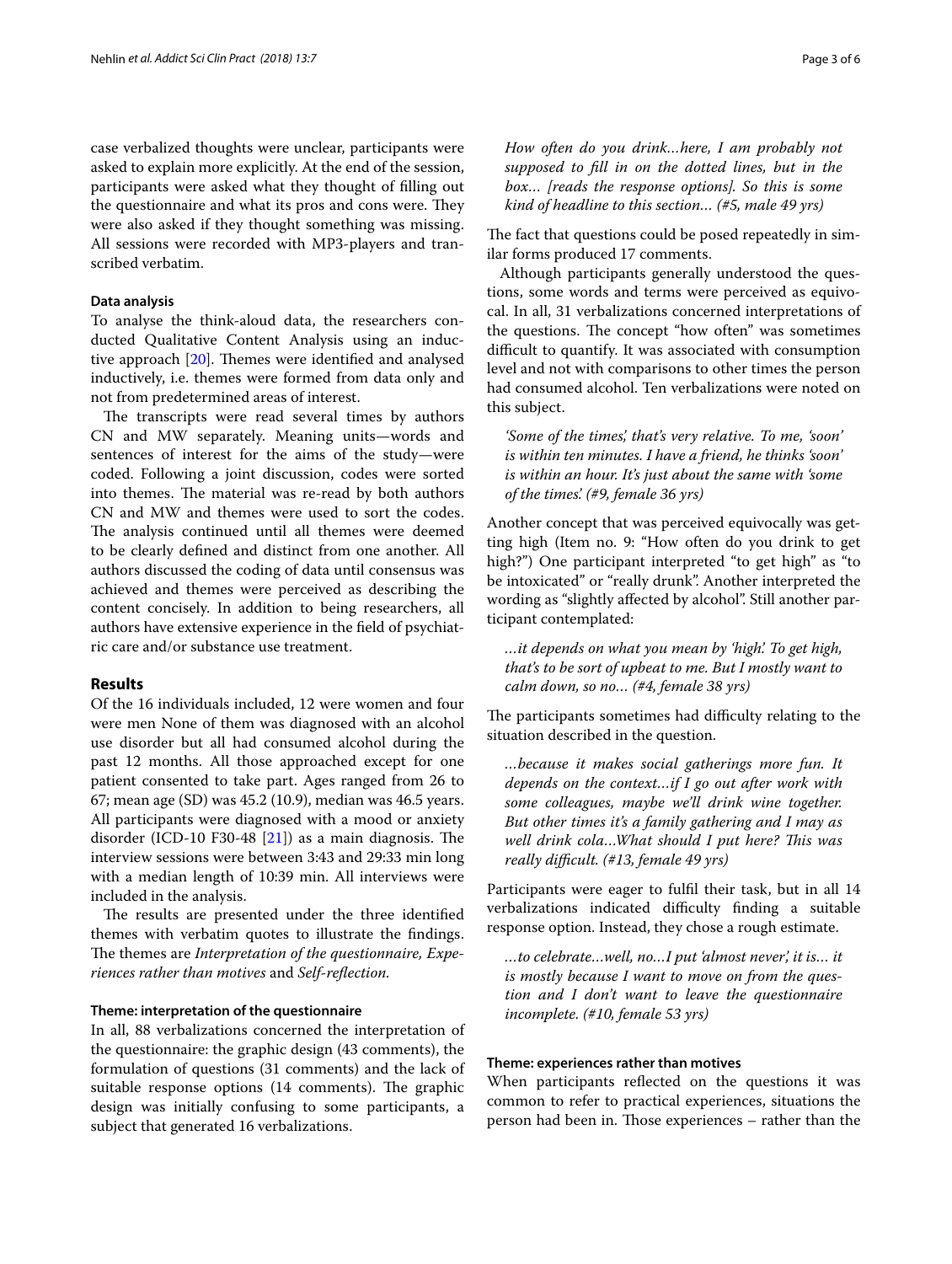case verbalized thoughts were unclear, participants were asked to explain more explicitly. At the end of the session, participants were asked what they thought of flling out the questionnaire and what its pros and cons were. They were also asked if they thought something was missing. All sessions were recorded with MP3-players and transcribed verbatim.

#### **Data analysis**

To analyse the think-aloud data, the researchers conducted Qualitative Content Analysis using an inductive approach  $[20]$ . Themes were identified and analysed inductively, i.e. themes were formed from data only and not from predetermined areas of interest.

The transcripts were read several times by authors CN and MW separately. Meaning units—words and sentences of interest for the aims of the study—were coded. Following a joint discussion, codes were sorted into themes. The material was re-read by both authors CN and MW and themes were used to sort the codes. The analysis continued until all themes were deemed to be clearly defned and distinct from one another. All authors discussed the coding of data until consensus was achieved and themes were perceived as describing the content concisely. In addition to being researchers, all authors have extensive experience in the feld of psychiatric care and/or substance use treatment.

#### **Results**

Of the 16 individuals included, 12 were women and four were men None of them was diagnosed with an alcohol use disorder but all had consumed alcohol during the past 12 months. All those approached except for one patient consented to take part. Ages ranged from 26 to 67; mean age (SD) was 45.2 (10.9), median was 46.5 years. All participants were diagnosed with a mood or anxiety disorder (ICD-10 F30-48  $[21]$ ) as a main diagnosis. The interview sessions were between 3:43 and 29:33 min long with a median length of 10:39 min. All interviews were included in the analysis.

The results are presented under the three identified themes with verbatim quotes to illustrate the fndings. The themes are *Interpretation of the questionnaire*, *Experiences rather than motives* and *Self*-*refection.*

## **Theme: interpretation of the questionnaire**

In all, 88 verbalizations concerned the interpretation of the questionnaire: the graphic design (43 comments), the formulation of questions (31 comments) and the lack of suitable response options (14 comments). The graphic design was initially confusing to some participants, a subject that generated 16 verbalizations.

*How often do you drink…here, I am probably not supposed to fll in on the dotted lines, but in the box… [reads the response options]. So this is some kind of headline to this section… (#5, male 49 yrs)*

The fact that questions could be posed repeatedly in similar forms produced 17 comments.

Although participants generally understood the questions, some words and terms were perceived as equivocal. In all, 31 verbalizations concerned interpretations of the questions. The concept "how often" was sometimes difficult to quantify. It was associated with consumption level and not with comparisons to other times the person had consumed alcohol. Ten verbalizations were noted on this subject.

*'Some of the times', that's very relative. To me, 'soon' is within ten minutes. I have a friend, he thinks 'soon' is within an hour. It's just about the same with 'some of the times'. (#9, female 36 yrs)*

Another concept that was perceived equivocally was getting high (Item no. 9: "How often do you drink to get high?") One participant interpreted "to get high" as "to be intoxicated" or "really drunk". Another interpreted the wording as "slightly afected by alcohol". Still another participant contemplated:

*…it depends on what you mean by 'high'. To get high, that's to be sort of upbeat to me. But I mostly want to calm down, so no… (#4, female 38 yrs)*

The participants sometimes had difficulty relating to the situation described in the question.

*…because it makes social gatherings more fun. It depends on the context…if I go out after work with some colleagues, maybe we'll drink wine together. But other times it's a family gathering and I may as*  well drink cola...What should I put here? This was *really difcult. (#13, female 49 yrs)*

Participants were eager to fulfl their task, but in all 14 verbalizations indicated difficulty finding a suitable response option. Instead, they chose a rough estimate.

*…to celebrate…well, no…I put 'almost never', it is… it is mostly because I want to move on from the question and I don't want to leave the questionnaire incomplete. (#10, female 53 yrs)*

### **Theme: experiences rather than motives**

When participants refected on the questions it was common to refer to practical experiences, situations the person had been in. Those experiences – rather than the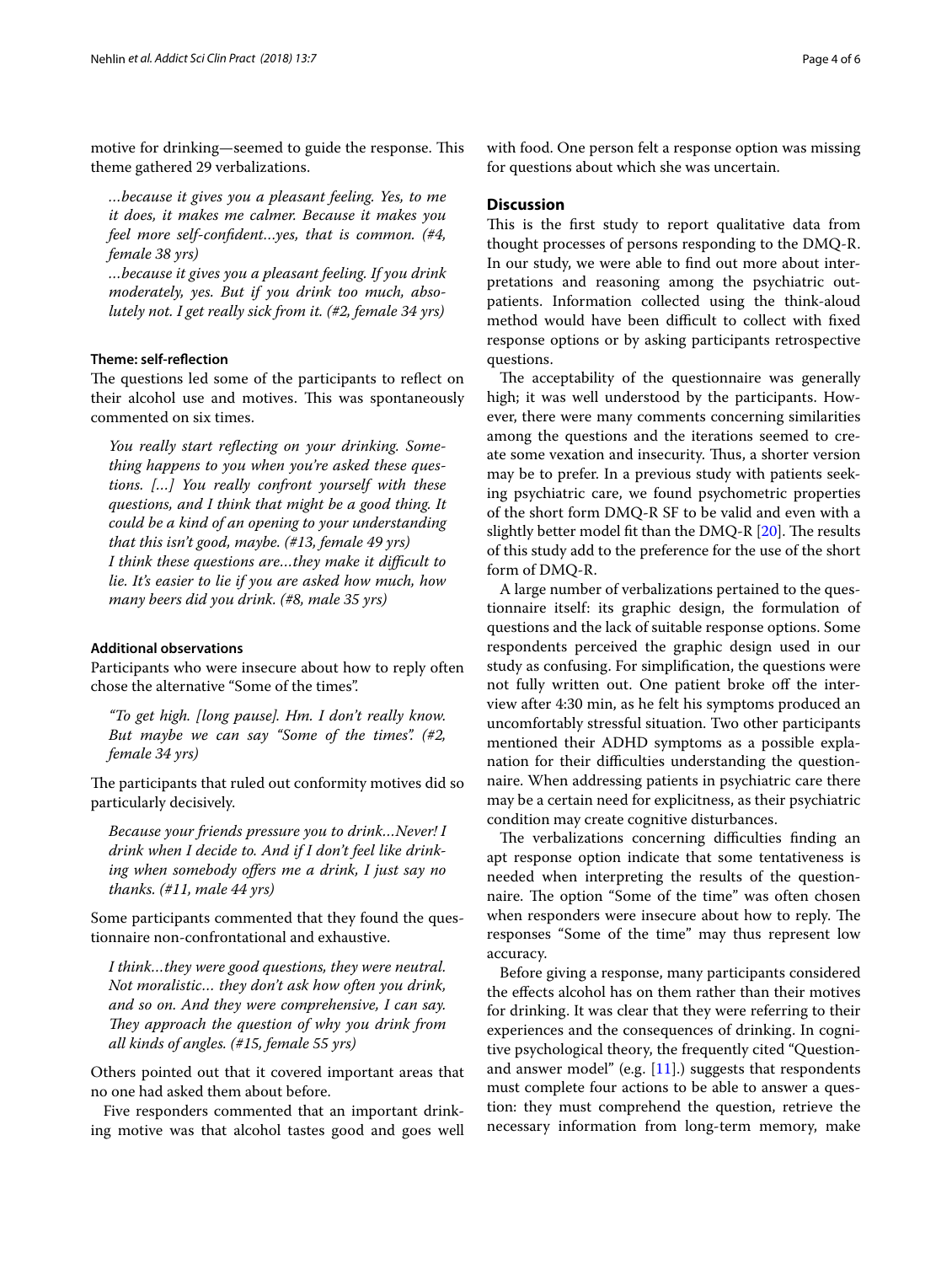motive for drinking—seemed to guide the response. This theme gathered 29 verbalizations.

*…because it gives you a pleasant feeling. Yes, to me it does, it makes me calmer. Because it makes you feel more self-confdent…yes, that is common. (#4, female 38 yrs)*

*…because it gives you a pleasant feeling. If you drink moderately, yes. But if you drink too much, absolutely not. I get really sick from it. (#2, female 34 yrs)*

#### **Theme: self‑refection**

The questions led some of the participants to reflect on their alcohol use and motives. This was spontaneously commented on six times.

*You really start refecting on your drinking. Something happens to you when you're asked these questions. […] You really confront yourself with these questions, and I think that might be a good thing. It could be a kind of an opening to your understanding that this isn't good, maybe. (#13, female 49 yrs) I think these questions are…they make it difcult to lie. It's easier to lie if you are asked how much, how many beers did you drink. (#8, male 35 yrs)*

#### **Additional observations**

Participants who were insecure about how to reply often chose the alternative "Some of the times".

*"To get high. [long pause]. Hm. I don't really know. But maybe we can say "Some of the times". (#2, female 34 yrs)*

The participants that ruled out conformity motives did so particularly decisively.

*Because your friends pressure you to drink…Never! I drink when I decide to. And if I don't feel like drinking when somebody ofers me a drink, I just say no thanks. (#11, male 44 yrs)*

Some participants commented that they found the questionnaire non-confrontational and exhaustive.

*I think…they were good questions, they were neutral. Not moralistic… they don't ask how often you drink, and so on. And they were comprehensive, I can say. They approach the question of why you drink from all kinds of angles. (#15, female 55 yrs)*

Others pointed out that it covered important areas that no one had asked them about before.

Five responders commented that an important drinking motive was that alcohol tastes good and goes well with food. One person felt a response option was missing for questions about which she was uncertain.

#### **Discussion**

This is the first study to report qualitative data from thought processes of persons responding to the DMQ-R. In our study, we were able to fnd out more about interpretations and reasoning among the psychiatric outpatients. Information collected using the think-aloud method would have been difficult to collect with fixed response options or by asking participants retrospective questions.

The acceptability of the questionnaire was generally high; it was well understood by the participants. However, there were many comments concerning similarities among the questions and the iterations seemed to create some vexation and insecurity. Thus, a shorter version may be to prefer. In a previous study with patients seeking psychiatric care, we found psychometric properties of the short form DMQ-R SF to be valid and even with a slightly better model fit than the DMQ-R  $[20]$  $[20]$ . The results of this study add to the preference for the use of the short form of DMQ-R.

A large number of verbalizations pertained to the questionnaire itself: its graphic design, the formulation of questions and the lack of suitable response options. Some respondents perceived the graphic design used in our study as confusing. For simplifcation, the questions were not fully written out. One patient broke off the interview after 4:30 min, as he felt his symptoms produced an uncomfortably stressful situation. Two other participants mentioned their ADHD symptoms as a possible explanation for their difficulties understanding the questionnaire. When addressing patients in psychiatric care there may be a certain need for explicitness, as their psychiatric condition may create cognitive disturbances.

The verbalizations concerning difficulties finding an apt response option indicate that some tentativeness is needed when interpreting the results of the questionnaire. The option "Some of the time" was often chosen when responders were insecure about how to reply. The responses "Some of the time" may thus represent low accuracy.

Before giving a response, many participants considered the effects alcohol has on them rather than their motives for drinking. It was clear that they were referring to their experiences and the consequences of drinking. In cognitive psychological theory, the frequently cited "Questionand answer model" (e.g.  $[11]$  $[11]$ .) suggests that respondents must complete four actions to be able to answer a question: they must comprehend the question, retrieve the necessary information from long-term memory, make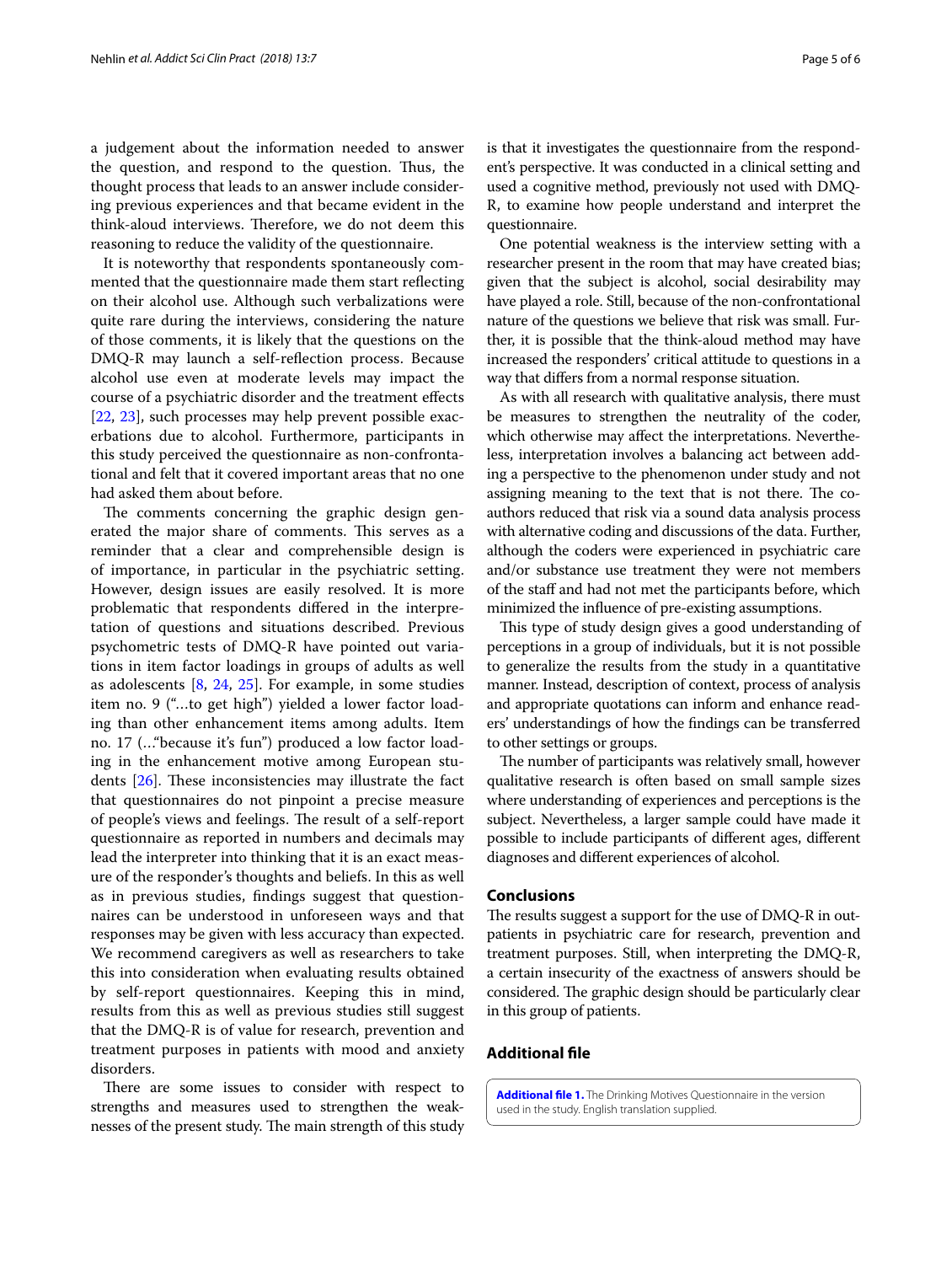a judgement about the information needed to answer the question, and respond to the question. Tus, the thought process that leads to an answer include considering previous experiences and that became evident in the think-aloud interviews. Therefore, we do not deem this reasoning to reduce the validity of the questionnaire.

It is noteworthy that respondents spontaneously commented that the questionnaire made them start refecting on their alcohol use. Although such verbalizations were quite rare during the interviews, considering the nature of those comments, it is likely that the questions on the DMQ-R may launch a self-refection process. Because alcohol use even at moderate levels may impact the course of a psychiatric disorder and the treatment efects [[22,](#page-5-18) [23\]](#page-5-19), such processes may help prevent possible exacerbations due to alcohol. Furthermore, participants in this study perceived the questionnaire as non-confrontational and felt that it covered important areas that no one had asked them about before.

The comments concerning the graphic design generated the major share of comments. This serves as a reminder that a clear and comprehensible design is of importance, in particular in the psychiatric setting. However, design issues are easily resolved. It is more problematic that respondents difered in the interpretation of questions and situations described. Previous psychometric tests of DMQ-R have pointed out variations in item factor loadings in groups of adults as well as adolescents [[8,](#page-5-6) [24](#page-5-20), [25\]](#page-5-21). For example, in some studies item no. 9 ("…to get high") yielded a lower factor loading than other enhancement items among adults. Item no. 17 (…"because it's fun") produced a low factor loading in the enhancement motive among European students  $[26]$  $[26]$ . These inconsistencies may illustrate the fact that questionnaires do not pinpoint a precise measure of people's views and feelings. The result of a self-report questionnaire as reported in numbers and decimals may lead the interpreter into thinking that it is an exact measure of the responder's thoughts and beliefs. In this as well as in previous studies, fndings suggest that questionnaires can be understood in unforeseen ways and that responses may be given with less accuracy than expected. We recommend caregivers as well as researchers to take this into consideration when evaluating results obtained by self-report questionnaires. Keeping this in mind, results from this as well as previous studies still suggest that the DMQ-R is of value for research, prevention and treatment purposes in patients with mood and anxiety disorders.

There are some issues to consider with respect to strengths and measures used to strengthen the weaknesses of the present study. The main strength of this study is that it investigates the questionnaire from the respondent's perspective. It was conducted in a clinical setting and used a cognitive method, previously not used with DMQ-R, to examine how people understand and interpret the questionnaire.

One potential weakness is the interview setting with a researcher present in the room that may have created bias; given that the subject is alcohol, social desirability may have played a role. Still, because of the non-confrontational nature of the questions we believe that risk was small. Further, it is possible that the think-aloud method may have increased the responders' critical attitude to questions in a way that difers from a normal response situation.

As with all research with qualitative analysis, there must be measures to strengthen the neutrality of the coder, which otherwise may afect the interpretations. Nevertheless, interpretation involves a balancing act between adding a perspective to the phenomenon under study and not assigning meaning to the text that is not there. The coauthors reduced that risk via a sound data analysis process with alternative coding and discussions of the data. Further, although the coders were experienced in psychiatric care and/or substance use treatment they were not members of the staf and had not met the participants before, which minimized the infuence of pre-existing assumptions.

This type of study design gives a good understanding of perceptions in a group of individuals, but it is not possible to generalize the results from the study in a quantitative manner. Instead, description of context, process of analysis and appropriate quotations can inform and enhance readers' understandings of how the fndings can be transferred to other settings or groups.

The number of participants was relatively small, however qualitative research is often based on small sample sizes where understanding of experiences and perceptions is the subject. Nevertheless, a larger sample could have made it possible to include participants of diferent ages, diferent diagnoses and diferent experiences of alcohol.

## **Conclusions**

The results suggest a support for the use of DMQ-R in outpatients in psychiatric care for research, prevention and treatment purposes. Still, when interpreting the DMQ-R, a certain insecurity of the exactness of answers should be considered. The graphic design should be particularly clear in this group of patients.

## **Additional fle**

<span id="page-4-0"></span>**[Additional fle](https://doi.org/10.1186/s13722-018-0109-1) 1.** The Drinking Motives Questionnaire in the version used in the study. English translation supplied.